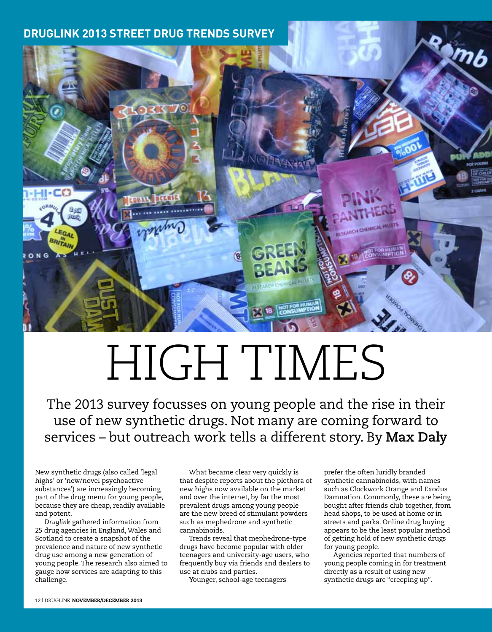## **Druglink 2013 Street Drug Trends Survey**



## HIGH TIMES

The 2013 survey focusses on young people and the rise in their use of new synthetic drugs. Not many are coming forward to services – but outreach work tells a different story. By **Max Daly**

New synthetic drugs (also called 'legal highs' or 'new/novel psychoactive substances') are increasingly becoming part of the drug menu for young people, because they are cheap, readily available and potent.

*Druglink* gathered information from 25 drug agencies in England, Wales and Scotland to create a snapshot of the prevalence and nature of new synthetic drug use among a new generation of young people. The research also aimed to gauge how services are adapting to this challenge.

What became clear very quickly is that despite reports about the plethora of new highs now available on the market and over the internet, by far the most prevalent drugs among young people are the new breed of stimulant powders such as mephedrone and synthetic cannabinoids.

Trends reveal that mephedrone-type drugs have become popular with older teenagers and university-age users, who frequently buy via friends and dealers to use at clubs and parties.

Younger, school-age teenagers

prefer the often luridly branded synthetic cannabinoids, with names such as Clockwork Orange and Exodus Damnation. Commonly, these are being bought after friends club together, from head shops, to be used at home or in streets and parks. Online drug buying appears to be the least popular method of getting hold of new synthetic drugs for young people.

Agencies reported that numbers of young people coming in for treatment directly as a result of using new synthetic drugs are "creeping up".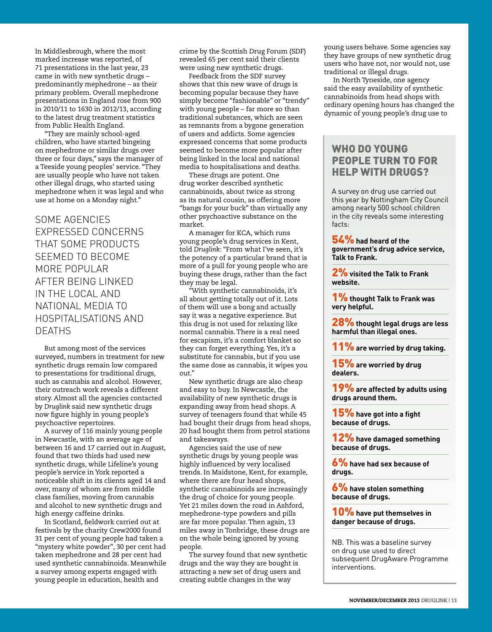In Middlesbrough, where the most marked increase was reported, of 71 presentations in the last year, 23 came in with new synthetic drugs – predominantly mephedrone – as their primary problem. Overall mephedrone presentations in England rose from 900 in 2010/11 to 1630 in 2012/13, according to the latest drug treatment statistics from Public Health England.

"They are mainly school-aged children, who have started bingeing on mephedrone or similar drugs over three or four days," says the manager of a Teeside young peoples' service. "They are usually people who have not taken other illegal drugs, who started using mephedrone when it was legal and who use at home on a Monday night."

## Some agencies expressed concerns that some products seemed to become more popular after being linked in the local and national media to hospitalisations and **DEATHS**

But among most of the services surveyed, numbers in treatment for new synthetic drugs remain low compared to presentations for traditional drugs, such as cannabis and alcohol. However, their outreach work reveals a different story. Almost all the agencies contacted by *Druglink* said new synthetic drugs now figure highly in young people's psychoactive repertoires.

A survey of 116 mainly young people in Newcastle, with an average age of between 16 and 17 carried out in August, found that two thirds had used new synthetic drugs, while Lifeline's young people's service in York reported a noticeable shift in its clients aged 14 and over, many of whom are from middle class families, moving from cannabis and alcohol to new synthetic drugs and high energy caffeine drinks.

In Scotland, fieldwork carried out at festivals by the charity Crew2000 found 31 per cent of young people had taken a "mystery white powder", 30 per cent had taken mephedrone and 28 per cent had used synthetic cannabinoids. Meanwhile a survey among experts engaged with young people in education, health and

crime by the Scottish Drug Forum (SDF) revealed 65 per cent said their clients were using new synthetic drugs.

Feedback from the SDF survey shows that this new wave of drugs is becoming popular because they have simply become "fashionable" or "trendy" with young people – far more so than traditional substances, which are seen as remnants from a bygone generation of users and addicts. Some agencies expressed concerns that some products seemed to become more popular after being linked in the local and national media to hospitalisations and deaths.

These drugs are potent. One drug worker described synthetic cannabinoids, about twice as strong as its natural cousin, as offering more "bangs for your buck" than virtually any other psychoactive substance on the market.

A manager for KCA, which runs young people's drug services in Kent, told *Druglink*: "From what I've seen, it's the potency of a particular brand that is more of a pull for young people who are buying these drugs, rather than the fact they may be legal.

"With synthetic cannabinoids, it's all about getting totally out of it. Lots of them will use a bong and actually say it was a negative experience. But this drug is not used for relaxing like normal cannabis. There is a real need for escapism, it's a comfort blanket so they can forget everything. Yes, it's a substitute for cannabis, but if you use the same dose as cannabis, it wipes you out."

New synthetic drugs are also cheap and easy to buy. In Newcastle, the availability of new synthetic drugs is expanding away from head shops. A survey of teenagers found that while 45 had bought their drugs from head shops, 20 had bought them from petrol stations and takeaways.

Agencies said the use of new synthetic drugs by young people was highly influenced by very localised trends. In Maidstone, Kent, for example, where there are four head shops, synthetic cannabinoids are increasingly the drug of choice for young people. Yet 21 miles down the road in Ashford, mephedrone-type powders and pills are far more popular. Then again, 13 miles away in Tonbridge, these drugs are on the whole being ignored by young people.

The survey found that new synthetic drugs and the way they are bought is attracting a new set of drug users and creating subtle changes in the way

young users behave. Some agencies say they have groups of new synthetic drug users who have not, nor would not, use traditional or illegal drugs.

In North Tyneside, one agency said the easy availability of synthetic cannabinoids from head shops with ordinary opening hours has changed the dynamic of young people's drug use to

## WHO DO YOUNG PEOPLE TURN TO FOR HELP WITH DRUGS?

A survey on drug use carried out this year by Nottingham City Council among nearly 500 school children in the city reveals some interesting facts:

54% **had heard of the government's drug advice service, Talk to Frank.**

2% **visited the Talk to Frank website.**

1% **thought Talk to Frank was very helpful.**

28% **thought legal drugs are less harmful than illegal ones.**

11% **are worried by drug taking.**

15% **are worried by drug dealers.**

19% **are affected by adults using drugs around them.**

15% **have got into a fight because of drugs.**

12% **have damaged something because of drugs.**

6% **have had sex because of drugs.**

6% **have stolen something because of drugs.**

10% **have put themselves in danger because of drugs.**

NB. This was a baseline survey on drug use used to direct subsequent DrugAware Programme interventions.